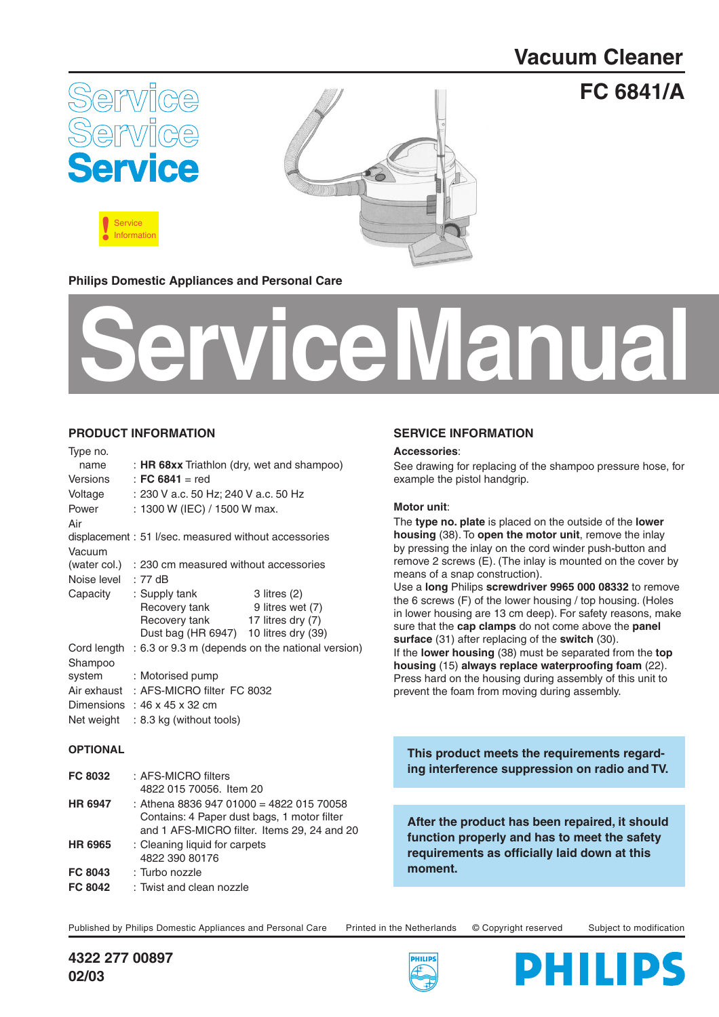# **Vacuum Cleaner**

# **FC 6841/A**



Information



### **Philips Domestic Appliances and Personal Care**

# **Service Manual**

## **PRODUCT INFORMATION**

| Type no.            |                                                              |              |  |  |
|---------------------|--------------------------------------------------------------|--------------|--|--|
| name                | : HR 68xx Triathlon (dry, wet and shampoo)                   |              |  |  |
| Versions            | : FC 6841 = red                                              |              |  |  |
| Voltage             | : 230 V a.c. 50 Hz; 240 V a.c. 50 Hz                         |              |  |  |
| Power               | : 1300 W (IEC) / 1500 W max.                                 |              |  |  |
| Air                 |                                                              |              |  |  |
|                     | displacement: 51 l/sec. measured without accessories         |              |  |  |
| Vacuum              |                                                              |              |  |  |
|                     | (water col.) : 230 cm measured without accessories           |              |  |  |
| Noise level : 77 dB |                                                              |              |  |  |
|                     | Capacity : Supply tank                                       | 3 litres (2) |  |  |
|                     | Recovery tank 9 litres wet (7)                               |              |  |  |
|                     | Recovery tank 17 litres dry (7)                              |              |  |  |
|                     | Dust bag (HR 6947) 10 litres dry (39)                        |              |  |  |
|                     | Cord length : 6.3 or 9.3 m (depends on the national version) |              |  |  |
| Shampoo             |                                                              |              |  |  |
|                     | system : Motorised pump                                      |              |  |  |
|                     | Air exhaust : AFS-MICRO filter FC 8032                       |              |  |  |
|                     | Dimensions : $46 \times 45 \times 32$ cm                     |              |  |  |
| Net weight          | : 8.3 kg (without tools)                                     |              |  |  |
|                     |                                                              |              |  |  |
|                     |                                                              |              |  |  |

#### **OPTIONAL**

| : AFS-MICRO filters                         |
|---------------------------------------------|
| 4822 015 70056. Item 20                     |
| : Athena 8836 947 01000 = 4822 015 70058    |
| Contains: 4 Paper dust bags, 1 motor filter |
| and 1 AFS-MICRO filter. Items 29, 24 and 20 |
| : Cleaning liquid for carpets               |
| 4822 390 80176                              |
| : Turbo nozzle                              |
| : Twist and clean nozzle                    |
|                                             |

## **SERVICE INFORMATION**

#### **Accessories**:

See drawing for replacing of the shampoo pressure hose, for example the pistol handgrip.

#### **Motor unit**:

The **type no. plate** is placed on the outside of the **lower housing** (38). To **open the motor unit**, remove the inlay by pressing the inlay on the cord winder push-button and remove 2 screws (E). (The inlay is mounted on the cover by means of a snap construction).

Use a **long** Philips **screwdriver 9965 000 08332** to remove the 6 screws (F) of the lower housing / top housing. (Holes in lower housing are 13 cm deep). For safety reasons, make sure that the **cap clamps** do not come above the **panel surface** (31) after replacing of the **switch** (30).

If the **lower housing** (38) must be separated from the **top**  housing (15) always replace waterproofing foam (22). Press hard on the housing during assembly of this unit to prevent the foam from moving during assembly.

**This product meets the requirements regarding interference suppression on radio and TV.**

**After the product has been repaired, it should function properly and has to meet the safety**  requirements as officially laid down at this **moment.**

Published by Philips Domestic Appliances and Personal Care Printed in the Netherlands © Copyright reserved Subject to modification

**4322 277 00897 02/03**



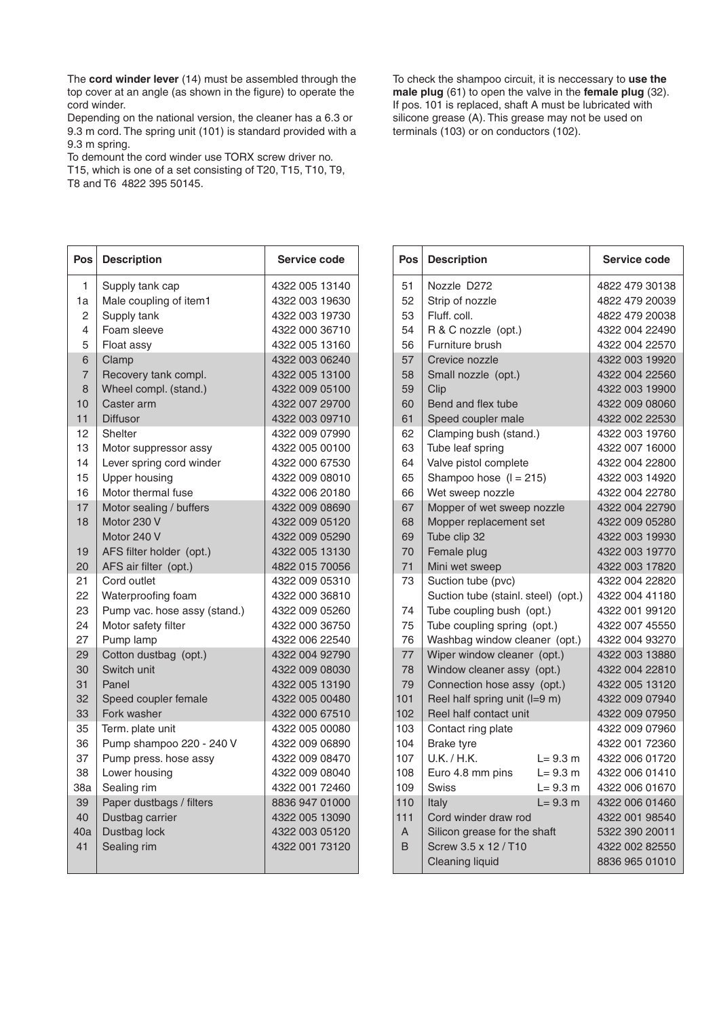The **cord winder lever** (14) must be assembled through the top cover at an angle (as shown in the figure) to operate the cord winder.

Depending on the national version, the cleaner has a 6.3 or 9.3 m cord. The spring unit (101) is standard provided with a 9.3 m spring.

To demount the cord winder use TORX screw driver no. T15, which is one of a set consisting of T20, T15, T10, T9, T8 and T6 4822 395 50145.

To check the shampoo circuit, it is neccessary to **use the male plug** (61) to open the valve in the **female plug** (32). If pos. 101 is replaced, shaft A must be lubricated with silicone grease (A). This grease may not be used on terminals (103) or on conductors (102).

| <b>Pos</b>     | <b>Description</b>           | Service code   |
|----------------|------------------------------|----------------|
| 1              | Supply tank cap              | 4322 005 13140 |
| 1a             | Male coupling of item1       | 4322 003 19630 |
| 2              | Supply tank                  | 4322 003 19730 |
| 4              | Foam sleeve                  | 4322 000 36710 |
| 5              | Float assy                   | 4322 005 13160 |
| 6              | Clamp                        | 4322 003 06240 |
| $\overline{7}$ | Recovery tank compl.         | 4322 005 13100 |
| 8              | Wheel compl. (stand.)        | 4322 009 05100 |
| 10             | Caster arm                   | 4322 007 29700 |
| 11             | <b>Diffusor</b>              | 4322 003 09710 |
| 12             | Shelter                      | 4322 009 07990 |
| 13             | Motor suppressor assy        | 4322 005 00100 |
| 14             | Lever spring cord winder     | 4322 000 67530 |
| 15             | <b>Upper housing</b>         | 4322 009 08010 |
| 16             | Motor thermal fuse           | 4322 006 20180 |
| 17             | Motor sealing / buffers      | 4322 009 08690 |
| 18             | Motor 230 V                  | 4322 009 05120 |
|                | Motor 240 V                  | 4322 009 05290 |
| 19             | AFS filter holder (opt.)     | 4322 005 13130 |
| 20             | AFS air filter (opt.)        | 4822 015 70056 |
| 21             | Cord outlet                  | 4322 009 05310 |
| 22             | Waterproofing foam           | 4322 000 36810 |
| 23             | Pump vac. hose assy (stand.) | 4322 009 05260 |
| 24             | Motor safety filter          | 4322 000 36750 |
| 27             | Pump lamp                    | 4322 006 22540 |
| 29             | Cotton dustbag (opt.)        | 4322 004 92790 |
| 30             | Switch unit                  | 4322 009 08030 |
| 31             | Panel                        | 4322 005 13190 |
| 32             | Speed coupler female         | 4322 005 00480 |
| 33             | Fork washer                  | 4322 000 67510 |
| 35             | Term. plate unit             | 4322 005 00080 |
| 36             | Pump shampoo 220 - 240 V     | 4322 009 06890 |
| 37             | Pump press. hose assy        | 4322 009 08470 |
| 38             | Lower housing                | 4322 009 08040 |
| 38a            | Sealing rim                  | 4322 001 72460 |
| 39             | Paper dustbags / filters     | 8836 947 01000 |
| 40             | Dustbag carrier              | 4322 005 13090 |
| 40a            | Dustbag lock                 | 4322 003 05120 |
| 41             | Sealing rim                  | 4322 001 73120 |
|                |                              |                |

| Pos                                  | <b>Description</b>                  |                             | <b>Service code</b>              |  |  |
|--------------------------------------|-------------------------------------|-----------------------------|----------------------------------|--|--|
| 51                                   | Nozzle D272                         | 4822 479 30138              |                                  |  |  |
| 52                                   | Strip of nozzle                     |                             |                                  |  |  |
| 53                                   | Fluff. coll.                        |                             | 4822 479 20038                   |  |  |
| 54                                   | R & C nozzle (opt.)                 |                             | 4322 004 22490                   |  |  |
| 56                                   | Furniture brush                     |                             | 4322 004 22570                   |  |  |
| 57                                   | Crevice nozzle                      |                             |                                  |  |  |
| 58                                   | Small nozzle (opt.)                 |                             |                                  |  |  |
| 59                                   | Clip                                |                             | 4322 003 19900                   |  |  |
| 60                                   | Bend and flex tube                  | 4322 009 08060              |                                  |  |  |
| 61                                   | Speed coupler male                  |                             |                                  |  |  |
| 62                                   |                                     | Clamping bush (stand.)      |                                  |  |  |
| 63                                   | Tube leaf spring                    |                             | 4322 007 16000                   |  |  |
| 64                                   |                                     | Valve pistol complete       |                                  |  |  |
| 65                                   | Shampoo hose $(l = 215)$            |                             | 4322 003 14920                   |  |  |
| 66                                   | Wet sweep nozzle                    |                             |                                  |  |  |
| 67                                   |                                     | Mopper of wet sweep nozzle  |                                  |  |  |
| 68                                   |                                     | Mopper replacement set      |                                  |  |  |
| 69                                   | Tube clip 32                        |                             |                                  |  |  |
| 70                                   | Female plug                         |                             | 4322 003 19770                   |  |  |
| 71                                   | Mini wet sweep                      |                             |                                  |  |  |
| 73                                   | Suction tube (pvc)                  |                             | 4322 004 22820                   |  |  |
|                                      | Suction tube (stainl. steel) (opt.) |                             | 4322 004 41180                   |  |  |
| 74                                   | Tube coupling bush (opt.)           |                             | 4322 001 99120                   |  |  |
| 75                                   | Tube coupling spring (opt.)         |                             | 4322 007 45550                   |  |  |
| 76                                   | Washbag window cleaner (opt.)       |                             | 4322 004 93270                   |  |  |
| 77                                   | Wiper window cleaner (opt.)         |                             | 4322 003 13880                   |  |  |
| 78                                   | Window cleaner assy (opt.)          |                             | 4322 004 22810<br>4322 005 13120 |  |  |
| 79                                   |                                     | Connection hose assy (opt.) |                                  |  |  |
| 101                                  | Reel half spring unit (I=9 m)       |                             | 4322 009 07940                   |  |  |
| 102                                  | Reel half contact unit              |                             | 4322 009 07950<br>4322 009 07960 |  |  |
| 103                                  | Contact ring plate                  |                             |                                  |  |  |
| 104                                  | <b>Brake tyre</b>                   |                             | 4322 001 72360                   |  |  |
| 107                                  | U.K. / H.K.                         | $L = 9.3 m$                 | 4322 006 01720                   |  |  |
| 108                                  | Euro 4.8 mm pins                    | $L = 9.3 m$                 | 4322 006 01410                   |  |  |
| 109                                  | Swiss                               | $L = 9.3 m$                 | 4322 006 01670                   |  |  |
| 110                                  | Italy                               | $L = 9.3 m$                 | 4322 006 01460                   |  |  |
| 111                                  | Cord winder draw rod                | 4322 001 98540              |                                  |  |  |
| A                                    | Silicon grease for the shaft        | 5322 390 20011              |                                  |  |  |
| Screw 3.5 x 12 / T10<br><sub>B</sub> |                                     |                             | 4322 002 82550                   |  |  |
| <b>Cleaning liquid</b>               |                                     |                             | 8836 965 01010                   |  |  |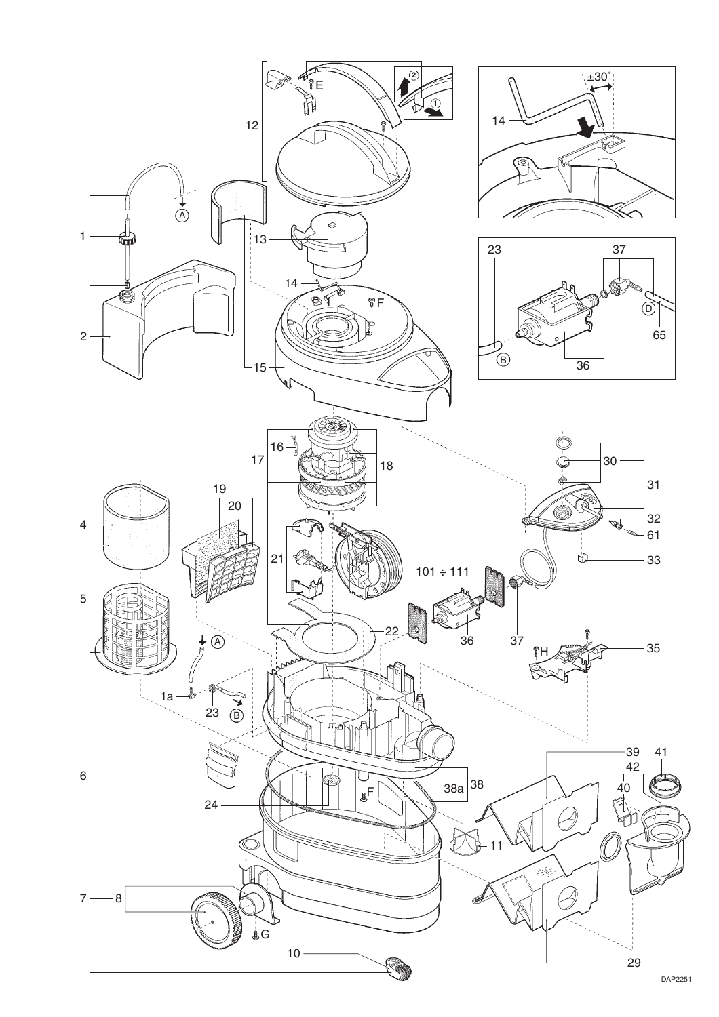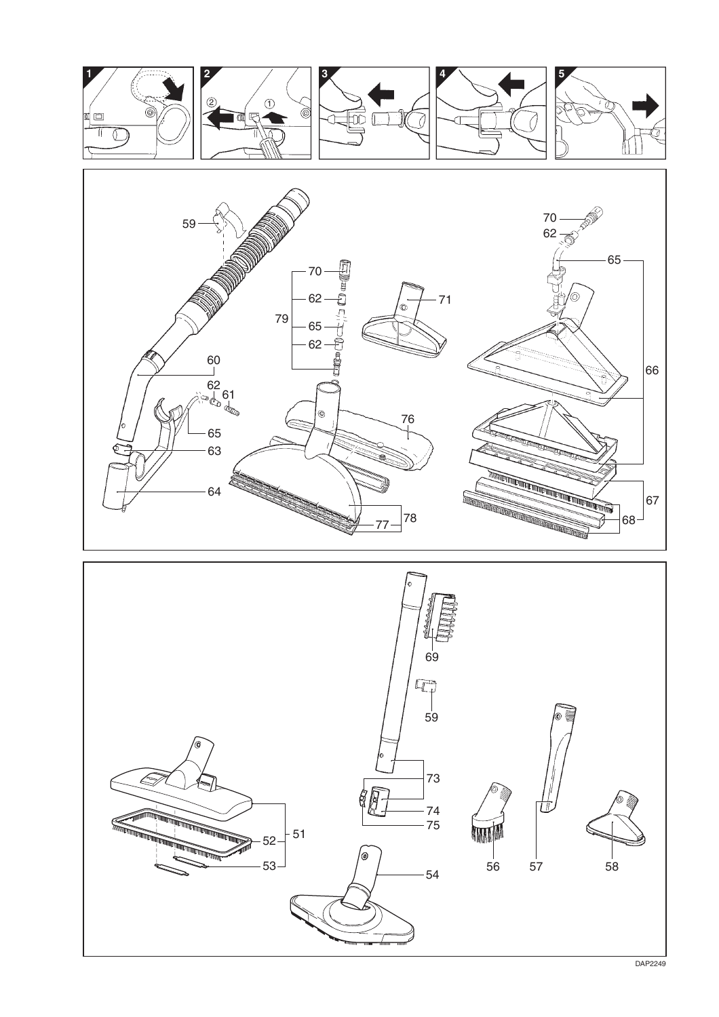